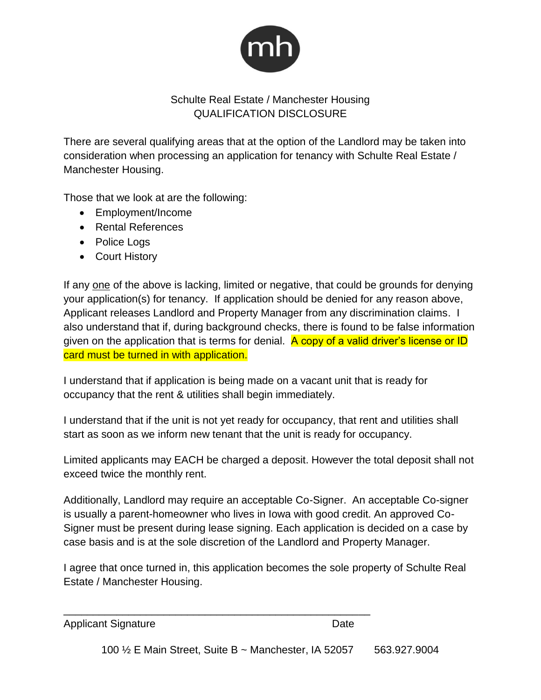

## Schulte Real Estate / Manchester Housing QUALIFICATION DISCLOSURE

There are several qualifying areas that at the option of the Landlord may be taken into consideration when processing an application for tenancy with Schulte Real Estate / Manchester Housing.

Those that we look at are the following:

- Employment/Income
- Rental References
- Police Logs
- Court History

If any one of the above is lacking, limited or negative, that could be grounds for denying your application(s) for tenancy. If application should be denied for any reason above, Applicant releases Landlord and Property Manager from any discrimination claims. I also understand that if, during background checks, there is found to be false information given on the application that is terms for denial.  $\overline{A}$  copy of a valid driver's license or ID card must be turned in with application.

I understand that if application is being made on a vacant unit that is ready for occupancy that the rent & utilities shall begin immediately.

I understand that if the unit is not yet ready for occupancy, that rent and utilities shall start as soon as we inform new tenant that the unit is ready for occupancy.

Limited applicants may EACH be charged a deposit. However the total deposit shall not exceed twice the monthly rent.

Additionally, Landlord may require an acceptable Co-Signer. An acceptable Co-signer is usually a parent-homeowner who lives in Iowa with good credit. An approved Co-Signer must be present during lease signing. Each application is decided on a case by case basis and is at the sole discretion of the Landlord and Property Manager.

I agree that once turned in, this application becomes the sole property of Schulte Real Estate / Manchester Housing.

\_\_\_\_\_\_\_\_\_\_\_\_\_\_\_\_\_\_\_\_\_\_\_\_\_\_\_\_\_\_\_\_\_\_\_\_\_\_\_\_\_\_\_\_\_\_\_\_\_\_\_\_

Applicant Signature Date

100 ½ E Main Street, Suite B ~ Manchester, IA 52057 563.927.9004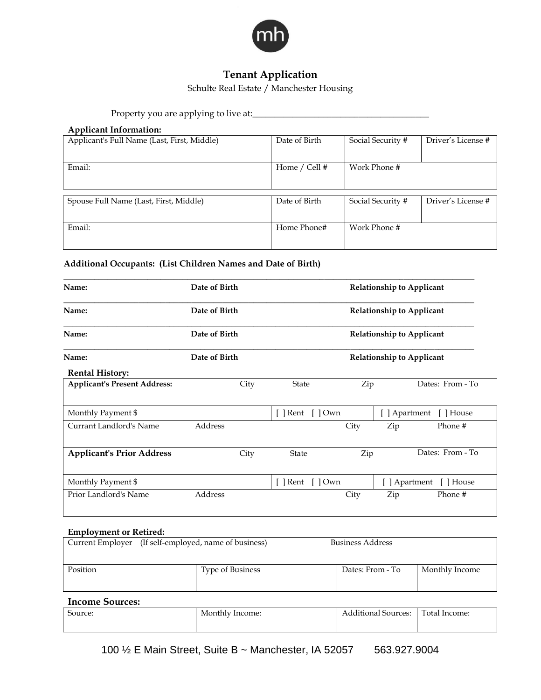

# **Tenant Application**

Schulte Real Estate / Manchester Housing

Property you are applying to live at:\_\_\_\_\_\_\_\_\_\_\_\_\_\_\_\_\_\_\_\_\_\_\_\_\_\_\_\_\_\_\_\_\_\_\_\_\_\_\_\_

### **Applicant Information:**

| Applicant's Full Name (Last, First, Middle) | Date of Birth | Social Security # | Driver's License # |
|---------------------------------------------|---------------|-------------------|--------------------|
| Email:                                      | Home / Cell # | Work Phone #      |                    |
|                                             |               |                   |                    |
| Spouse Full Name (Last, First, Middle)      | Date of Birth | Social Security # | Driver's License # |
| Email:                                      | Home Phone#   | Work Phone #      |                    |

### **Additional Occupants: (List Children Names and Date of Birth)**

| Name:                               | Date of Birth |                                                      |      | <b>Relationship to Applicant</b> |                         |
|-------------------------------------|---------------|------------------------------------------------------|------|----------------------------------|-------------------------|
| Name:                               | Date of Birth |                                                      |      | <b>Relationship to Applicant</b> |                         |
| Name:                               | Date of Birth |                                                      |      | <b>Relationship to Applicant</b> |                         |
| Name:                               | Date of Birth |                                                      |      | <b>Relationship to Applicant</b> |                         |
| <b>Rental History:</b>              |               |                                                      |      |                                  |                         |
| <b>Applicant's Present Address:</b> | City          | <b>State</b>                                         | Zip  |                                  | Dates: From - To        |
| Monthly Payment \$                  |               | $\lceil \cdot \rceil$ Rent $\lceil \cdot \rceil$ Own |      |                                  | [ ] Apartment [ ] House |
| Currant Landlord's Name             | Address       |                                                      | City | Zip                              | Phone #                 |
| <b>Applicant's Prior Address</b>    | City          | <b>State</b>                                         | Zip  |                                  | Dates: From - To        |
| Monthly Payment \$                  |               | $\lceil \cdot \rceil$ Rent $\lceil \cdot \rceil$ Own |      | [ ] Apartment                    | [ ] House               |
| Prior Landlord's Name               | Address       |                                                      | City | Zip                              | Phone #                 |

#### **Employment or Retired:**

|                                                                                    | Current Employer (If self-employed, name of business) | <b>Business Address</b> |                |
|------------------------------------------------------------------------------------|-------------------------------------------------------|-------------------------|----------------|
| Position                                                                           | <b>Type of Business</b>                               | Dates: From - To        | Monthly Income |
| $\mathbf{L}_{\text{in}}$ and $\mathbf{L}_{\text{in}}$ and $\mathbf{L}_{\text{in}}$ |                                                       |                         |                |

### **Income Sources:**

| $\sqrt{2}$<br>Source: | Monthly Income: | $\sim$<br>$\cdots$<br>Sources:<br>Additional | Total Income: |
|-----------------------|-----------------|----------------------------------------------|---------------|
|                       |                 |                                              |               |